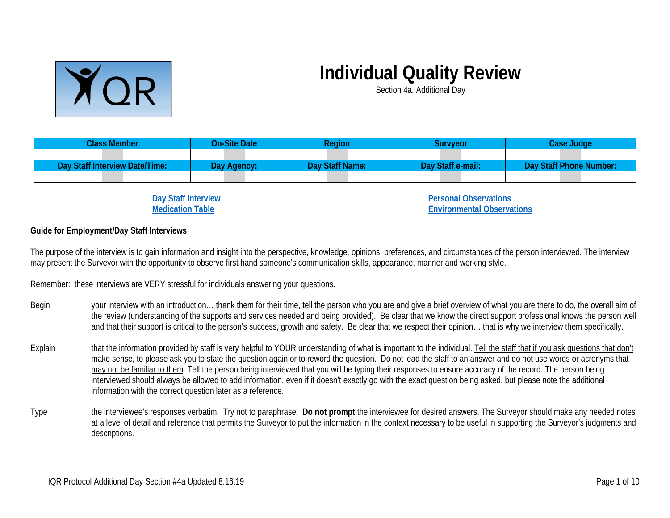

## **Individual Quality Review**

Section 4a. Additional Day

| <b>Class Member</b>            | <b>On-Site Date</b> | Reaion          | Survveor          | Case Judge              |
|--------------------------------|---------------------|-----------------|-------------------|-------------------------|
|                                |                     |                 |                   |                         |
| Day Staff Interview Date/Time: | Dav Agency:         | Day Staff Name: | Day Staff e-mail: | Day Staff Phone Number: |
|                                |                     |                 |                   |                         |

**[Day Staff Interview](#page-2-0) [Medication Table](#page-7-0)**

**[Personal Observations](#page-8-0) [Environmental Observations](#page-8-1)**

## **Guide for Employment/Day Staff Interviews**

The purpose of the interview is to gain information and insight into the perspective, knowledge, opinions, preferences, and circumstances of the person interviewed. The interview may present the Surveyor with the opportunity to observe first hand someone's communication skills, appearance, manner and working style.

Remember: these interviews are VERY stressful for individuals answering your questions.

- Begin your interview with an introduction... thank them for their time, tell the person who you are and give a brief overview of what you are there to do, the overall aim of the review (understanding of the supports and services needed and being provided). Be clear that we know the direct support professional knows the person well and that their support is critical to the person's success, growth and safety. Be clear that we respect their opinion… that is why we interview them specifically.
- Explain that the information provided by staff is very helpful to YOUR understanding of what is important to the individual. Tell the staff that if you ask questions that don't make sense, to please ask you to state the question again or to reword the question. Do not lead the staff to an answer and do not use words or acronyms that may not be familiar to them. Tell the person being interviewed that you will be typing their responses to ensure accuracy of the record. The person being interviewed should always be allowed to add information, even if it doesn't exactly go with the exact question being asked, but please note the additional information with the correct question later as a reference.
- Type the interviewee's responses verbatim. Try not to paraphrase. **Do not prompt** the interviewee for desired answers. The Surveyor should make any needed notes at a level of detail and reference that permits the Surveyor to put the information in the context necessary to be useful in supporting the Surveyor's judgments and descriptions.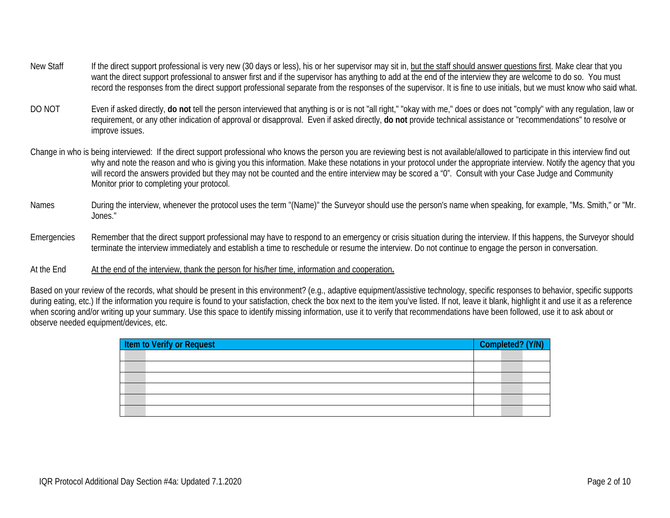- New Staff If the direct support professional is very new (30 days or less), his or her supervisor may sit in, but the staff should answer questions first. Make clear that you want the direct support professional to answer first and if the supervisor has anything to add at the end of the interview they are welcome to do so. You must record the responses from the direct support professional separate from the responses of the supervisor. It is fine to use initials, but we must know who said what.
- DO NOT Even if asked directly, **do not** tell the person interviewed that anything is or is not "all right," "okay with me," does or does not "comply" with any regulation, law or requirement, or any other indication of approval or disapproval. Even if asked directly, **do not** provide technical assistance or "recommendations" to resolve or improve issues.
- Change in who is being interviewed: If the direct support professional who knows the person you are reviewing best is not available/allowed to participate in this interview find out why and note the reason and who is giving you this information. Make these notations in your protocol under the appropriate interview. Notify the agency that you will record the answers provided but they may not be counted and the entire interview may be scored a "0". Consult with your Case Judge and Community Monitor prior to completing your protocol.
- Names During the interview, whenever the protocol uses the term "(Name)" the Surveyor should use the person's name when speaking, for example, "Ms. Smith," or "Mr. Jones."
- Emergencies Remember that the direct support professional may have to respond to an emergency or crisis situation during the interview. If this happens, the Surveyor should terminate the interview immediately and establish a time to reschedule or resume the interview. Do not continue to engage the person in conversation.
- At the End At the end of the interview, thank the person for his/her time, information and cooperation.

Based on your review of the records, what should be present in this environment? (e.g., adaptive equipment/assistive technology, specific responses to behavior, specific supports during eating, etc.) If the information you require is found to your satisfaction, check the box next to the item you've listed. If not, leave it blank, highlight it and use it as a reference when scoring and/or writing up your summary. Use this space to identify missing information, use it to verify that recommendations have been followed, use it to ask about or observe needed equipment/devices, etc.

| Item to Verify or Request | Completed? (Y/N) |  |
|---------------------------|------------------|--|
|                           |                  |  |
|                           |                  |  |
|                           |                  |  |
|                           |                  |  |
|                           |                  |  |
|                           |                  |  |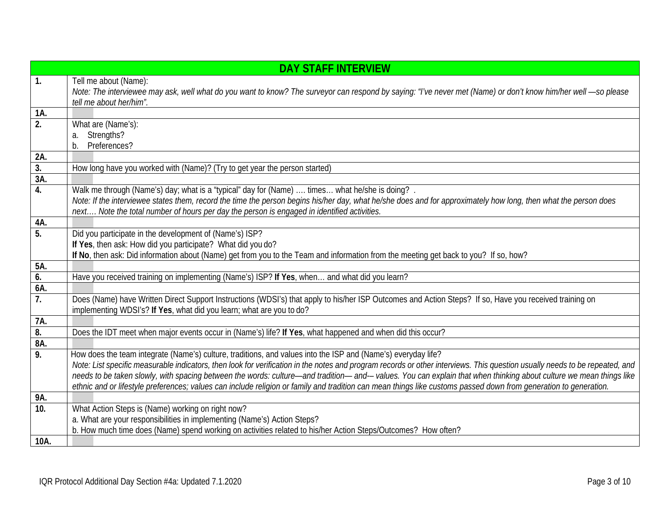<span id="page-2-0"></span>

|                  | <b>DAY STAFF INTERVIEW</b>                                                                                                                                                  |
|------------------|-----------------------------------------------------------------------------------------------------------------------------------------------------------------------------|
| $\overline{1}$ . | Tell me about (Name):                                                                                                                                                       |
|                  | Note: The interviewee may ask, well what do you want to know? The surveyor can respond by saying: "I've never met (Name) or don't know him/her well -so please              |
|                  | tell me about her/him".                                                                                                                                                     |
| 1A.              |                                                                                                                                                                             |
| 2.               | What are (Name's):                                                                                                                                                          |
|                  | Strengths?<br>a.<br>b.<br>Preferences?                                                                                                                                      |
| 2A.              |                                                                                                                                                                             |
| 3.               | How long have you worked with (Name)? (Try to get year the person started)                                                                                                  |
| 3A.              |                                                                                                                                                                             |
| 4.               | Walk me through (Name's) day; what is a "typical" day for (Name)  times what he/she is doing? .                                                                             |
|                  | Note: If the interviewee states them, record the time the person begins his/her day, what he/she does and for approximately how long, then what the person does             |
|                  | next Note the total number of hours per day the person is engaged in identified activities.                                                                                 |
| 4A.              |                                                                                                                                                                             |
| 5.               | Did you participate in the development of (Name's) ISP?                                                                                                                     |
|                  | If Yes, then ask: How did you participate? What did you do?                                                                                                                 |
|                  | If No, then ask: Did information about (Name) get from you to the Team and information from the meeting get back to you? If so, how?                                        |
| 5A.              |                                                                                                                                                                             |
| 6.               | Have you received training on implementing (Name's) ISP? If Yes, when and what did you learn?                                                                               |
| 6A.              |                                                                                                                                                                             |
| $\overline{7}$ . | Does (Name) have Written Direct Support Instructions (WDSI's) that apply to his/her ISP Outcomes and Action Steps? If so, Have you received training on                     |
| 7A.              | implementing WDSI's? If Yes, what did you learn; what are you to do?                                                                                                        |
| $\overline{8}$ . | Does the IDT meet when major events occur in (Name's) life? If Yes, what happened and when did this occur?                                                                  |
| 8A.              |                                                                                                                                                                             |
| 9.               | How does the team integrate (Name's) culture, traditions, and values into the ISP and (Name's) everyday life?                                                               |
|                  | Note: List specific measurable indicators, then look for verification in the notes and program records or other interviews. This question usually needs to be repeated, and |
|                  | needs to be taken slowly, with spacing between the words: culture-and tradition- and-- values. You can explain that when thinking about culture we mean things like         |
|                  | ethnic and or lifestyle preferences; values can include religion or family and tradition can mean things like customs passed down from generation to generation.            |
| 9Α.              |                                                                                                                                                                             |
| 10.              | What Action Steps is (Name) working on right now?                                                                                                                           |
|                  | a. What are your responsibilities in implementing (Name's) Action Steps?                                                                                                    |
|                  | b. How much time does (Name) spend working on activities related to his/her Action Steps/Outcomes? How often?                                                               |
| 10A.             |                                                                                                                                                                             |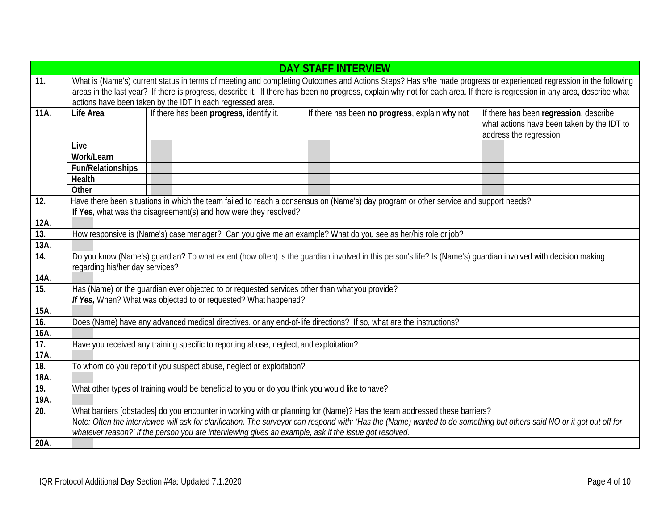|      |                                                                                                                                                                                                                                                                                                                                                                                                              |                                                                  | <b>DAY STAFF INTERVIEW</b>                                                                                                                                                 |  |  |
|------|--------------------------------------------------------------------------------------------------------------------------------------------------------------------------------------------------------------------------------------------------------------------------------------------------------------------------------------------------------------------------------------------------------------|------------------------------------------------------------------|----------------------------------------------------------------------------------------------------------------------------------------------------------------------------|--|--|
| 11.  | What is (Name's) current status in terms of meeting and completing Outcomes and Actions Steps? Has s/he made progress or experienced regression in the following                                                                                                                                                                                                                                             |                                                                  |                                                                                                                                                                            |  |  |
|      |                                                                                                                                                                                                                                                                                                                                                                                                              |                                                                  | areas in the last year? If there is progress, describe it. If there has been no progress, explain why not for each area. If there is regression in any area, describe what |  |  |
|      |                                                                                                                                                                                                                                                                                                                                                                                                              | actions have been taken by the IDT in each regressed area.       |                                                                                                                                                                            |  |  |
| 11A. | Life Area                                                                                                                                                                                                                                                                                                                                                                                                    | If there has been progress, identify it.                         | If there has been no progress, explain why not<br>If there has been regression, describe<br>what actions have been taken by the IDT to<br>address the regression.          |  |  |
|      | Live                                                                                                                                                                                                                                                                                                                                                                                                         |                                                                  |                                                                                                                                                                            |  |  |
|      | Work/Learn                                                                                                                                                                                                                                                                                                                                                                                                   |                                                                  |                                                                                                                                                                            |  |  |
|      | Fun/Relationships                                                                                                                                                                                                                                                                                                                                                                                            |                                                                  |                                                                                                                                                                            |  |  |
|      | Health                                                                                                                                                                                                                                                                                                                                                                                                       |                                                                  |                                                                                                                                                                            |  |  |
|      | Other                                                                                                                                                                                                                                                                                                                                                                                                        |                                                                  |                                                                                                                                                                            |  |  |
| 12.  |                                                                                                                                                                                                                                                                                                                                                                                                              | If Yes, what was the disagreement(s) and how were they resolved? | Have there been situations in which the team failed to reach a consensus on (Name's) day program or other service and support needs?                                       |  |  |
| 12A. |                                                                                                                                                                                                                                                                                                                                                                                                              |                                                                  |                                                                                                                                                                            |  |  |
| 13.  |                                                                                                                                                                                                                                                                                                                                                                                                              |                                                                  | How responsive is (Name's) case manager? Can you give me an example? What do you see as her/his role or job?                                                               |  |  |
| 13A. |                                                                                                                                                                                                                                                                                                                                                                                                              |                                                                  |                                                                                                                                                                            |  |  |
| 14.  | Do you know (Name's) quardian? To what extent (how often) is the quardian involved in this person's life? Is (Name's) quardian involved with decision making<br>regarding his/her day services?                                                                                                                                                                                                              |                                                                  |                                                                                                                                                                            |  |  |
| 14A. |                                                                                                                                                                                                                                                                                                                                                                                                              |                                                                  |                                                                                                                                                                            |  |  |
| 15.  | Has (Name) or the quardian ever objected to or requested services other than what you provide?<br>If Yes, When? What was objected to or requested? What happened?                                                                                                                                                                                                                                            |                                                                  |                                                                                                                                                                            |  |  |
| 15A. |                                                                                                                                                                                                                                                                                                                                                                                                              |                                                                  |                                                                                                                                                                            |  |  |
| 16.  |                                                                                                                                                                                                                                                                                                                                                                                                              |                                                                  | Does (Name) have any advanced medical directives, or any end-of-life directions? If so, what are the instructions?                                                         |  |  |
| 16A. |                                                                                                                                                                                                                                                                                                                                                                                                              |                                                                  |                                                                                                                                                                            |  |  |
| 17.  | Have you received any training specific to reporting abuse, neglect, and exploitation?                                                                                                                                                                                                                                                                                                                       |                                                                  |                                                                                                                                                                            |  |  |
| 17A. |                                                                                                                                                                                                                                                                                                                                                                                                              |                                                                  |                                                                                                                                                                            |  |  |
| 18.  | To whom do you report if you suspect abuse, neglect or exploitation?                                                                                                                                                                                                                                                                                                                                         |                                                                  |                                                                                                                                                                            |  |  |
| 18A. |                                                                                                                                                                                                                                                                                                                                                                                                              |                                                                  |                                                                                                                                                                            |  |  |
| 19.  | What other types of training would be beneficial to you or do you think you would like to have?                                                                                                                                                                                                                                                                                                              |                                                                  |                                                                                                                                                                            |  |  |
| 19A. |                                                                                                                                                                                                                                                                                                                                                                                                              |                                                                  |                                                                                                                                                                            |  |  |
| 20.  | What barriers [obstacles] do you encounter in working with or planning for (Name)? Has the team addressed these barriers?<br>Note: Often the interviewee will ask for clarification. The surveyor can respond with: 'Has the (Name) wanted to do something but others said NO or it got put off for<br>whatever reason?' If the person you are interviewing gives an example, ask if the issue got resolved. |                                                                  |                                                                                                                                                                            |  |  |
| 20A. |                                                                                                                                                                                                                                                                                                                                                                                                              |                                                                  |                                                                                                                                                                            |  |  |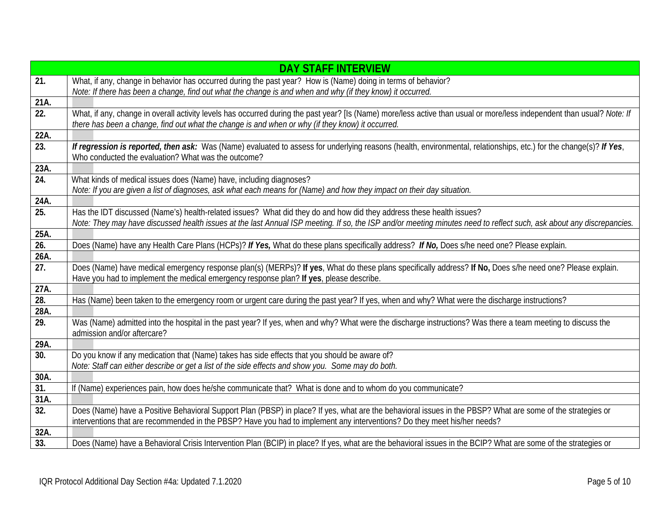|                   | <b>DAY STAFF INTERVIEW</b>                                                                                                                                                                                                                                                  |
|-------------------|-----------------------------------------------------------------------------------------------------------------------------------------------------------------------------------------------------------------------------------------------------------------------------|
| 21.               | What, if any, change in behavior has occurred during the past year? How is (Name) doing in terms of behavior?                                                                                                                                                               |
|                   | Note: If there has been a change, find out what the change is and when and why (if they know) it occurred.                                                                                                                                                                  |
| 21A.              |                                                                                                                                                                                                                                                                             |
| 22.               | What, if any, change in overall activity levels has occurred during the past year? [Is (Name) more/less active than usual or more/less independent than usual? Note: If<br>there has been a change, find out what the change is and when or why (if they know) it occurred. |
| 22A.              |                                                                                                                                                                                                                                                                             |
| $\overline{23}$ . | If regression is reported, then ask: Was (Name) evaluated to assess for underlying reasons (health, environmental, relationships, etc.) for the change(s)? If Yes,<br>Who conducted the evaluation? What was the outcome?                                                   |
| 23A.              |                                                                                                                                                                                                                                                                             |
| 24.               | What kinds of medical issues does (Name) have, including diagnoses?                                                                                                                                                                                                         |
|                   | Note: If you are given a list of diagnoses, ask what each means for (Name) and how they impact on their day situation.                                                                                                                                                      |
| 24A.              |                                                                                                                                                                                                                                                                             |
| 25.               | Has the IDT discussed (Name's) health-related issues? What did they do and how did they address these health issues?                                                                                                                                                        |
|                   | Note: They may have discussed health issues at the last Annual ISP meeting. If so, the ISP and/or meeting minutes need to reflect such, ask about any discrepancies.                                                                                                        |
| 25A.              |                                                                                                                                                                                                                                                                             |
| $\overline{26}$ . | Does (Name) have any Health Care Plans (HCPs)? If Yes, What do these plans specifically address? If No, Does s/he need one? Please explain.                                                                                                                                 |
| 26A.              |                                                                                                                                                                                                                                                                             |
| $\overline{27}$ . | Does (Name) have medical emergency response plan(s) (MERPs)? If yes, What do these plans specifically address? If No, Does s/he need one? Please explain.<br>Have you had to implement the medical emergency response plan? If yes, please describe.                        |
| 27A.              |                                                                                                                                                                                                                                                                             |
| $\overline{28}$ . | Has (Name) been taken to the emergency room or urgent care during the past year? If yes, when and why? What were the discharge instructions?                                                                                                                                |
| 28A.              |                                                                                                                                                                                                                                                                             |
| $\overline{29}$ . | Was (Name) admitted into the hospital in the past year? If yes, when and why? What were the discharge instructions? Was there a team meeting to discuss the<br>admission and/or aftercare?                                                                                  |
| 29A.              |                                                                                                                                                                                                                                                                             |
| 30.               | Do you know if any medication that (Name) takes has side effects that you should be aware of?<br>Note: Staff can either describe or get a list of the side effects and show you. Some may do both.                                                                          |
| 30A.              |                                                                                                                                                                                                                                                                             |
| 31.               | If (Name) experiences pain, how does he/she communicate that? What is done and to whom do you communicate?                                                                                                                                                                  |
| 31A.              |                                                                                                                                                                                                                                                                             |
| 32.               | Does (Name) have a Positive Behavioral Support Plan (PBSP) in place? If yes, what are the behavioral issues in the PBSP? What are some of the strategies or                                                                                                                 |
|                   | interventions that are recommended in the PBSP? Have you had to implement any interventions? Do they meet his/her needs?                                                                                                                                                    |
| 32A.              |                                                                                                                                                                                                                                                                             |
| 33.               | Does (Name) have a Behavioral Crisis Intervention Plan (BCIP) in place? If yes, what are the behavioral issues in the BCIP? What are some of the strategies or                                                                                                              |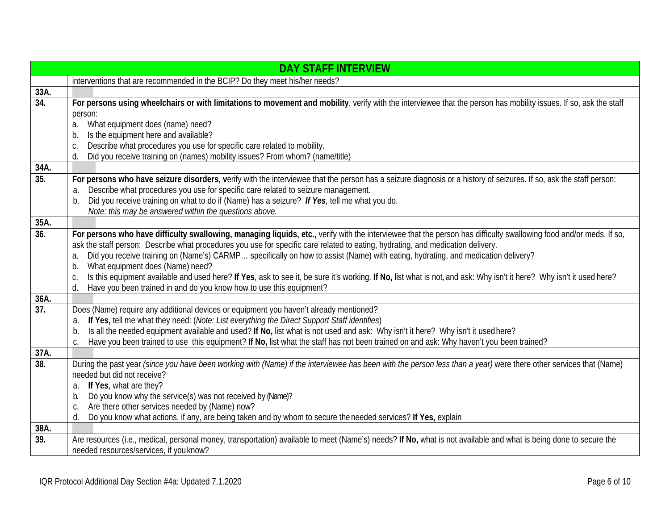|                   | <b>DAY STAFF INTERVIEW</b>                                                                                                                                                                                                                                                                                                                                                                                                                                                                                                                                                                                                                                                                                                                           |
|-------------------|------------------------------------------------------------------------------------------------------------------------------------------------------------------------------------------------------------------------------------------------------------------------------------------------------------------------------------------------------------------------------------------------------------------------------------------------------------------------------------------------------------------------------------------------------------------------------------------------------------------------------------------------------------------------------------------------------------------------------------------------------|
|                   | interventions that are recommended in the BCIP? Do they meet his/her needs?                                                                                                                                                                                                                                                                                                                                                                                                                                                                                                                                                                                                                                                                          |
| 33A.              |                                                                                                                                                                                                                                                                                                                                                                                                                                                                                                                                                                                                                                                                                                                                                      |
| $\overline{34}$ . | For persons using wheelchairs or with limitations to movement and mobility, verify with the interviewee that the person has mobility issues. If so, ask the staff<br>person:<br>What equipment does (name) need?<br>a.<br>Is the equipment here and available?<br>b.<br>Describe what procedures you use for specific care related to mobility.<br>C.<br>Did you receive training on (names) mobility issues? From whom? (name/title)<br>d.                                                                                                                                                                                                                                                                                                          |
| 34A.              |                                                                                                                                                                                                                                                                                                                                                                                                                                                                                                                                                                                                                                                                                                                                                      |
| 35.               | For persons who have seizure disorders, verify with the interviewee that the person has a seizure diagnosis or a history of seizures. If so, ask the staff person:<br>Describe what procedures you use for specific care related to seizure management.<br>a.<br>b. Did you receive training on what to do if (Name) has a seizure? If Yes, tell me what you do.<br>Note: this may be answered within the questions above.                                                                                                                                                                                                                                                                                                                           |
| 35A.              |                                                                                                                                                                                                                                                                                                                                                                                                                                                                                                                                                                                                                                                                                                                                                      |
| 36.               | For persons who have difficulty swallowing, managing liquids, etc., verify with the interviewee that the person has difficulty swallowing food and/or meds. If so,<br>ask the staff person: Describe what procedures you use for specific care related to eating, hydrating, and medication delivery.<br>Did you receive training on (Name's) CARMP specifically on how to assist (Name) with eating, hydrating, and medication delivery?<br>a.<br>What equipment does (Name) need?<br>b.<br>Is this equipment available and used here? If Yes, ask to see it, be sure it's working. If No, list what is not, and ask: Why isn't it here? Why isn't it used here?<br>C.<br>Have you been trained in and do you know how to use this equipment?<br>d. |
| 36A.              |                                                                                                                                                                                                                                                                                                                                                                                                                                                                                                                                                                                                                                                                                                                                                      |
| 37.               | Does (Name) require any additional devices or equipment you haven't already mentioned?<br>If Yes, tell me what they need: (Note: List everything the Direct Support Staff identifies)<br>a.<br>Is all the needed equipment available and used? If No, list what is not used and ask: Why isn't it here? Why isn't it used here?<br>b.<br>Have you been trained to use this equipment? If No, list what the staff has not been trained on and ask: Why haven't you been trained?<br>C.                                                                                                                                                                                                                                                                |
| 37A.              |                                                                                                                                                                                                                                                                                                                                                                                                                                                                                                                                                                                                                                                                                                                                                      |
| 38.               | During the past year (since you have been working with (Name) if the interviewee has been with the person less than a year) were there other services that (Name)<br>needed but did not receive?<br>If Yes, what are they?<br>a.<br>Do you know why the service(s) was not received by (Name)?<br>b.<br>Are there other services needed by (Name) now?<br>C.<br>Do you know what actions, if any, are being taken and by whom to secure the needed services? If Yes, explain<br>d.                                                                                                                                                                                                                                                                   |
| 38A.              |                                                                                                                                                                                                                                                                                                                                                                                                                                                                                                                                                                                                                                                                                                                                                      |
| 39.               | Are resources (i.e., medical, personal money, transportation) available to meet (Name's) needs? If No, what is not available and what is being done to secure the<br>needed resources/services, if you know?                                                                                                                                                                                                                                                                                                                                                                                                                                                                                                                                         |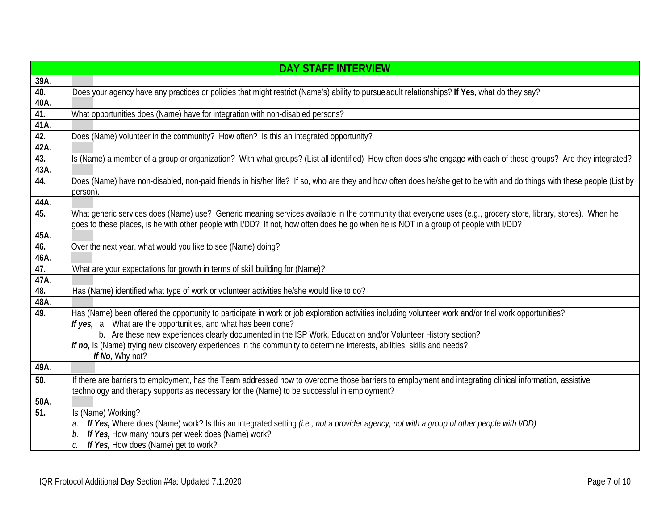|      | <b>DAY STAFF INTERVIEW</b>                                                                                                                                                                                                                                                                            |
|------|-------------------------------------------------------------------------------------------------------------------------------------------------------------------------------------------------------------------------------------------------------------------------------------------------------|
| 39A. |                                                                                                                                                                                                                                                                                                       |
| 40.  | Does your agency have any practices or policies that might restrict (Name's) ability to pursue adult relationships? If Yes, what do they say?                                                                                                                                                         |
| 40A. |                                                                                                                                                                                                                                                                                                       |
| 41.  | What opportunities does (Name) have for integration with non-disabled persons?                                                                                                                                                                                                                        |
| 41A. |                                                                                                                                                                                                                                                                                                       |
| 42.  | Does (Name) volunteer in the community? How often? Is this an integrated opportunity?                                                                                                                                                                                                                 |
| 42A. |                                                                                                                                                                                                                                                                                                       |
| 43.  | Is (Name) a member of a group or organization? With what groups? (List all identified) How often does s/he engage with each of these groups? Are they integrated?                                                                                                                                     |
| 43A. |                                                                                                                                                                                                                                                                                                       |
| 44.  | Does (Name) have non-disabled, non-paid friends in his/her life? If so, who are they and how often does he/she get to be with and do things with these people (List by<br>person).                                                                                                                    |
| 44A. |                                                                                                                                                                                                                                                                                                       |
| 45.  | What generic services does (Name) use? Generic meaning services available in the community that everyone uses (e.g., grocery store, library, stores). When he<br>goes to these places, is he with other people with I/DD? If not, how often does he go when he is NOT in a group of people with I/DD? |
| 45A. |                                                                                                                                                                                                                                                                                                       |
| 46.  | Over the next year, what would you like to see (Name) doing?                                                                                                                                                                                                                                          |
| 46A. |                                                                                                                                                                                                                                                                                                       |
| 47.  | What are your expectations for growth in terms of skill building for (Name)?                                                                                                                                                                                                                          |
| 47A. |                                                                                                                                                                                                                                                                                                       |
| 48.  | Has (Name) identified what type of work or volunteer activities he/she would like to do?                                                                                                                                                                                                              |
| 48A. |                                                                                                                                                                                                                                                                                                       |
| 49.  | Has (Name) been offered the opportunity to participate in work or job exploration activities including volunteer work and/or trial work opportunities?                                                                                                                                                |
|      | If yes, a. What are the opportunities, and what has been done?                                                                                                                                                                                                                                        |
|      | b. Are these new experiences clearly documented in the ISP Work, Education and/or Volunteer History section?                                                                                                                                                                                          |
|      | If no, Is (Name) trying new discovery experiences in the community to determine interests, abilities, skills and needs?                                                                                                                                                                               |
|      | If No, Why not?                                                                                                                                                                                                                                                                                       |
| 49A. |                                                                                                                                                                                                                                                                                                       |
| 50.  | If there are barriers to employment, has the Team addressed how to overcome those barriers to employment and integrating clinical information, assistive                                                                                                                                              |
|      | technology and therapy supports as necessary for the (Name) to be successful in employment?                                                                                                                                                                                                           |
| 50A. |                                                                                                                                                                                                                                                                                                       |
| 51.  | Is (Name) Working?                                                                                                                                                                                                                                                                                    |
|      | If Yes, Where does (Name) work? Is this an integrated setting (i.e., not a provider agency, not with a group of other people with I/DD)                                                                                                                                                               |
|      | If Yes, How many hours per week does (Name) work?                                                                                                                                                                                                                                                     |
|      | If Yes, How does (Name) get to work?<br>C.                                                                                                                                                                                                                                                            |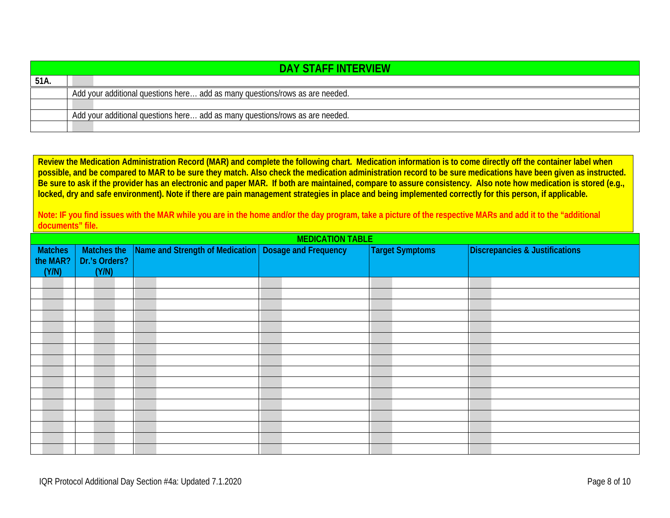|      | <b>DAY STAFF INTERVIEW</b>                                                   |
|------|------------------------------------------------------------------------------|
| 51A. |                                                                              |
|      | Add your additional questions here add as many questions/rows as are needed. |
|      |                                                                              |
|      | Add your additional questions here add as many questions/rows as are needed. |
|      |                                                                              |

**Review the Medication Administration Record (MAR) and complete the following chart. Medication information is to come directly off the container label when possible, and be compared to MAR to be sure they match. Also check the medication administration record to be sure medications have been given as instructed. Be sure to ask if the provider has an electronic and paper MAR. If both are maintained, compare to assure consistency. Also note how medication is stored (e.g., locked, dry and safe environment). Note if there are pain management strategies in place and being implemented correctly for this person, if applicable.**

**Note: IF you find issues with the MAR while you are in the home and/or the day program, take a picture of the respective MARs and add it to the "additional documents" file.**

<span id="page-7-0"></span>

| <b>MEDICATION TABLE</b> |               |                                                        |  |                        |                                |
|-------------------------|---------------|--------------------------------------------------------|--|------------------------|--------------------------------|
| Matches                 | Matches the   | Name and Strength of Medication   Dosage and Frequency |  | <b>Target Symptoms</b> | Discrepancies & Justifications |
| the MAR?                | Dr.'s Orders? |                                                        |  |                        |                                |
| (Y/N)                   | (Y/N)         |                                                        |  |                        |                                |
|                         |               |                                                        |  |                        |                                |
|                         |               |                                                        |  |                        |                                |
|                         |               |                                                        |  |                        |                                |
|                         |               |                                                        |  |                        |                                |
|                         |               |                                                        |  |                        |                                |
|                         |               |                                                        |  |                        |                                |
|                         |               |                                                        |  |                        |                                |
|                         |               |                                                        |  |                        |                                |
|                         |               |                                                        |  |                        |                                |
|                         |               |                                                        |  |                        |                                |
|                         |               |                                                        |  |                        |                                |
|                         |               |                                                        |  |                        |                                |
|                         |               |                                                        |  |                        |                                |
|                         |               |                                                        |  |                        |                                |
|                         |               |                                                        |  |                        |                                |
|                         |               |                                                        |  |                        |                                |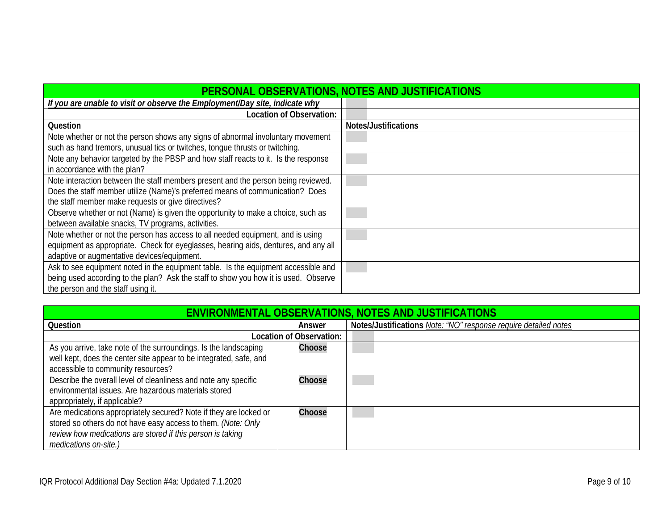<span id="page-8-0"></span>

| PERSONAL OBSERVATIONS, NOTES AND JUSTIFICATIONS                                                                                                                                                                          |                      |
|--------------------------------------------------------------------------------------------------------------------------------------------------------------------------------------------------------------------------|----------------------|
| If you are unable to visit or observe the Employment/Day site, indicate why                                                                                                                                              |                      |
| Location of Observation:                                                                                                                                                                                                 |                      |
| Question                                                                                                                                                                                                                 | Notes/Justifications |
| Note whether or not the person shows any signs of abnormal involuntary movement<br>such as hand tremors, unusual tics or twitches, tongue thrusts or twitching.                                                          |                      |
| Note any behavior targeted by the PBSP and how staff reacts to it. Is the response<br>in accordance with the plan?                                                                                                       |                      |
| Note interaction between the staff members present and the person being reviewed.<br>Does the staff member utilize (Name)'s preferred means of communication? Does<br>the staff member make requests or give directives? |                      |
| Observe whether or not (Name) is given the opportunity to make a choice, such as<br>between available snacks, TV programs, activities.                                                                                   |                      |
| Note whether or not the person has access to all needed equipment, and is using<br>equipment as appropriate. Check for eyeglasses, hearing aids, dentures, and any all<br>adaptive or augmentative devices/equipment.    |                      |
| Ask to see equipment noted in the equipment table. Is the equipment accessible and<br>being used according to the plan? Ask the staff to show you how it is used. Observe<br>the person and the staff using it.          |                      |

<span id="page-8-1"></span>

| <b>ENVIRONMENTAL OBSERVATIONS, NOTES AND JUSTIFICATIONS</b>        |                          |                                                                 |  |  |
|--------------------------------------------------------------------|--------------------------|-----------------------------------------------------------------|--|--|
| Question<br>Answer                                                 |                          | Notes/Justifications Note: "NO" response require detailed notes |  |  |
|                                                                    | Location of Observation: |                                                                 |  |  |
| As you arrive, take note of the surroundings. Is the landscaping   | Choose                   |                                                                 |  |  |
| well kept, does the center site appear to be integrated, safe, and |                          |                                                                 |  |  |
| accessible to community resources?                                 |                          |                                                                 |  |  |
| Describe the overall level of cleanliness and note any specific    | Choose                   |                                                                 |  |  |
| environmental issues. Are hazardous materials stored               |                          |                                                                 |  |  |
| appropriately, if applicable?                                      |                          |                                                                 |  |  |
| Are medications appropriately secured? Note if they are locked or  | Choose                   |                                                                 |  |  |
| stored so others do not have easy access to them. (Note: Only      |                          |                                                                 |  |  |
| review how medications are stored if this person is taking         |                          |                                                                 |  |  |
| medications on-site.)                                              |                          |                                                                 |  |  |